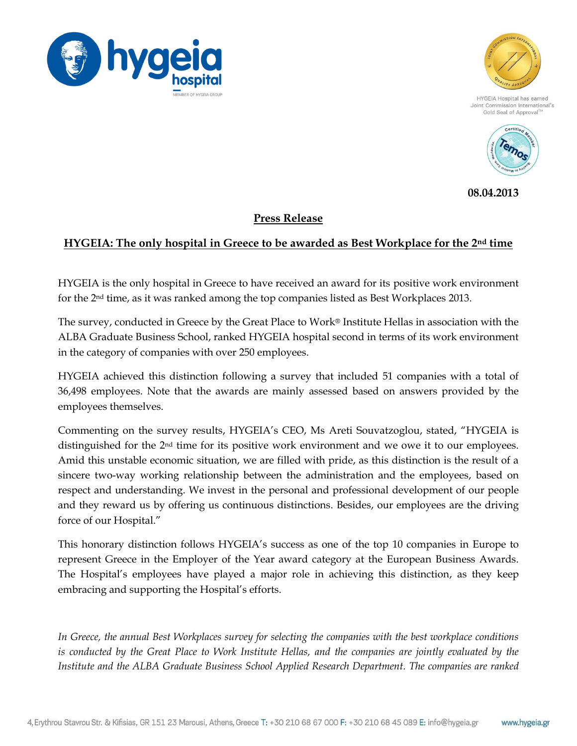



Joint Commission International's Gold Seal of Approval™



**08.04.2013**

## **Press Release**

## **HYGEIA: The only hospital in Greece to be awarded as Best Workplace for the 2nd time**

HYGEIA is the only hospital in Greece to have received an award for its positive work environment for the 2nd time, as it was ranked among the top companies listed as Best Workplaces 2013.

The survey, conducted in Greece by the Great Place to Work® Institute Hellas in association with the ALBA Graduate Business School, ranked HYGEIA hospital second in terms of its work environment in the category of companies with over 250 employees.

HYGEIA achieved this distinction following a survey that included 51 companies with a total of 36,498 employees. Note that the awards are mainly assessed based on answers provided by the employees themselves.

Commenting on the survey results, HYGEIA's CEO, Ms Areti Souvatzoglou, stated, "HYGEIA is distinguished for the 2nd time for its positive work environment and we owe it to our employees. Amid this unstable economic situation, we are filled with pride, as this distinction is the result of a sincere two-way working relationship between the administration and the employees, based on respect and understanding. We invest in the personal and professional development of our people and they reward us by offering us continuous distinctions. Besides, our employees are the driving force of our Hospital."

This honorary distinction follows HYGEIA's success as one of the top 10 companies in Europe to represent Greece in the Employer of the Year award category at the European Business Awards. The Hospital's employees have played a major role in achieving this distinction, as they keep embracing and supporting the Hospital's efforts.

*In Greece, the annual Best Workplaces survey for selecting the companies with the best workplace conditions is conducted by the Great Place to Work Institute Hellas, and the companies are jointly evaluated by the Institute and the ALBA Graduate Business School Applied Research Department. The companies are ranked*